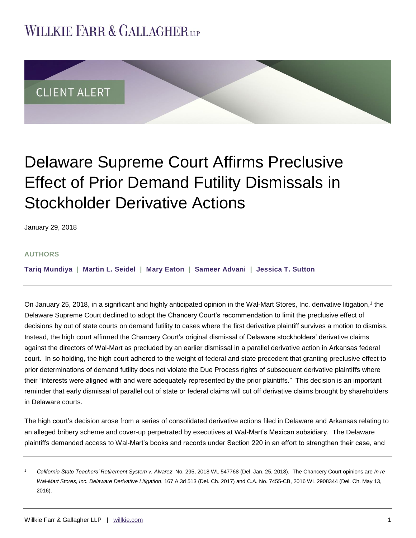## **WILLKIE FARR & GALLAGHERUP**



# Delaware Supreme Court Affirms Preclusive Effect of Prior Demand Futility Dismissals in Stockholder Derivative Actions

January 29, 2018

#### **AUTHORS**

**[Tariq Mundiya](http://www.willkie.com/professionals/m/mundiya-tariq) | [Martin L. Seidel](http://www.willkie.com/professionals/s/seidel-martin) | Mary [Eaton](http://www.willkie.com/professionals/e/eaton-mary) | [Sameer Advani](http://www.willkie.com/professionals/a/advani-sameer) | [Jessica T. Sutton](http://www.willkie.com/professionals/s/sutton-jessica-t)**

On January 25, 2018, in a significant and highly anticipated opinion in the Wal-Mart Stores, Inc. derivative litigation,<sup>1</sup> the Delaware Supreme Court declined to adopt the Chancery Court's recommendation to limit the preclusive effect of decisions by out of state courts on demand futility to cases where the first derivative plaintiff survives a motion to dismiss. Instead, the high court affirmed the Chancery Court's original dismissal of Delaware stockholders' derivative claims against the directors of Wal-Mart as precluded by an earlier dismissal in a parallel derivative action in Arkansas federal court. In so holding, the high court adhered to the weight of federal and state precedent that granting preclusive effect to prior determinations of demand futility does not violate the Due Process rights of subsequent derivative plaintiffs where their "interests were aligned with and were adequately represented by the prior plaintiffs." This decision is an important reminder that early dismissal of parallel out of state or federal claims will cut off derivative claims brought by shareholders in Delaware courts.

The high court's decision arose from a series of consolidated derivative actions filed in Delaware and Arkansas relating to an alleged bribery scheme and cover-up perpetrated by executives at Wal-Mart's Mexican subsidiary. The Delaware plaintiffs demanded access to Wal-Mart's books and records under Section 220 in an effort to strengthen their case, and

<sup>1</sup> *California State Teachers' Retirement System v. Alvarez*, No. 295, 2018 WL 547768 (Del. Jan. 25, 2018). The Chancery Court opinions are *In re Wal-Mart Stores, Inc. Delaware Derivative Litigation*, 167 A.3d 513 (Del. Ch. 2017) and C.A. No. 7455-CB, 2016 WL 2908344 (Del. Ch. May 13, 2016).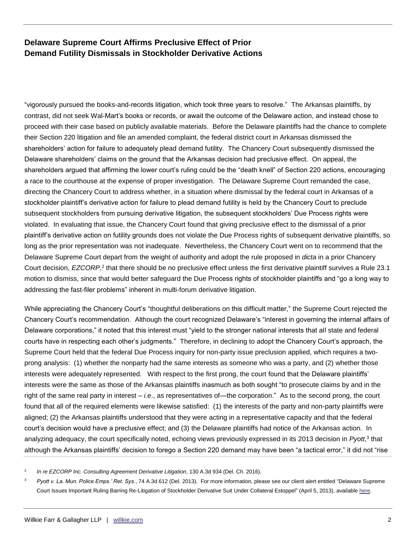### **Delaware Supreme Court Affirms Preclusive Effect of Prior Demand Futility Dismissals in Stockholder Derivative Actions**

"vigorously pursued the books-and-records litigation, which took three years to resolve." The Arkansas plaintiffs, by contrast, did not seek Wal-Mart's books or records, or await the outcome of the Delaware action, and instead chose to proceed with their case based on publicly available materials. Before the Delaware plaintiffs had the chance to complete their Section 220 litigation and file an amended complaint, the federal district court in Arkansas dismissed the shareholders' action for failure to adequately plead demand futility. The Chancery Court subsequently dismissed the Delaware shareholders' claims on the ground that the Arkansas decision had preclusive effect. On appeal, the shareholders argued that affirming the lower court's ruling could be the "death knell" of Section 220 actions, encouraging a race to the courthouse at the expense of proper investigation. The Delaware Supreme Court remanded the case, directing the Chancery Court to address whether, in a situation where dismissal by the federal court in Arkansas of a stockholder plaintiff's derivative action for failure to plead demand futility is held by the Chancery Court to preclude subsequent stockholders from pursuing derivative litigation, the subsequent stockholders' Due Process rights were violated. In evaluating that issue, the Chancery Court found that giving preclusive effect to the dismissal of a prior plaintiff's derivative action on futility grounds does not violate the Due Process rights of subsequent derivative plaintiffs, so long as the prior representation was not inadequate. Nevertheless, the Chancery Court went on to recommend that the Delaware Supreme Court depart from the weight of authority and adopt the rule proposed in *dicta* in a prior Chancery Court decision, *EZCORP*,<sup>2</sup> that there should be no preclusive effect unless the first derivative plaintiff survives a Rule 23.1 motion to dismiss, since that would better safeguard the Due Process rights of stockholder plaintiffs and "go a long way to addressing the fast-filer problems" inherent in multi-forum derivative litigation.

While appreciating the Chancery Court's "thoughtful deliberations on this difficult matter," the Supreme Court rejected the Chancery Court's recommendation. Although the court recognized Delaware's "interest in governing the internal affairs of Delaware corporations," it noted that this interest must "yield to the stronger national interests that all state and federal courts have in respecting each other's judgments." Therefore, in declining to adopt the Chancery Court's approach, the Supreme Court held that the federal Due Process inquiry for non-party issue preclusion applied, which requires a twoprong analysis: (1) whether the nonparty had the same interests as someone who was a party, and (2) whether those interests were adequately represented. With respect to the first prong, the court found that the Delaware plaintiffs' interests were the same as those of the Arkansas plaintiffs inasmuch as both sought "to prosecute claims by and in the right of the same real party in interest – *i.e*., as representatives of—the corporation." As to the second prong, the court found that all of the required elements were likewise satisfied: (1) the interests of the party and non-party plaintiffs were aligned; (2) the Arkansas plaintiffs understood that they were acting in a representative capacity and that the federal court's decision would have a preclusive effect; and (3) the Delaware plaintiffs had notice of the Arkansas action. In analyzing adequacy, the court specifically noted, echoing views previously expressed in its 2013 decision in *Pyott*, 3 that although the Arkansas plaintiffs' decision to forego a Section 220 demand may have been "a tactical error," it did not "rise

<sup>2</sup> *In re EZCORP Inc. Consulting Agreement Derivative Litigation*, 130 A.3d 934 (Del. Ch. 2016).

<sup>3</sup> *Pyott v. La. Mun. Police Emps.' Ret. Sys.*, 74 A.3d 612 (Del. 2013). For more information, please see our client alert entitled "Delaware Supreme Court Issues Important Ruling Barring Re-Litigation of Stockholder Derivative Suit Under Collateral Estoppel" (April 5, 2013), available [here.](http://www.willkie.com/~/media/Files/Publications/2013/04/Delaware%20Supreme%20Court%20Issues%20Important%20Ruling%20B__/Files/DelawareSupremeCourtIssuesImportantRuling2pdf/FileAttachment/Delaware_Supreme_Court_Issues_Important_Ruling2.pdf)